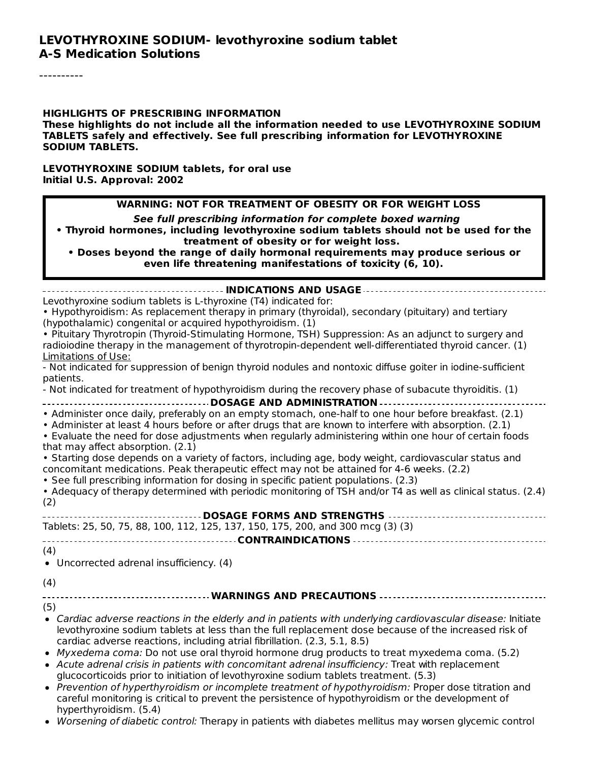----------

**HIGHLIGHTS OF PRESCRIBING INFORMATION These highlights do not include all the information needed to use LEVOTHYROXINE SODIUM TABLETS safely and effectively. See full prescribing information for LEVOTHYROXINE SODIUM TABLETS.**

**LEVOTHYROXINE SODIUM tablets, for oral use Initial U.S. Approval: 2002**

**See full prescribing information for complete boxed warning**

**• Thyroid hormones, including levothyroxine sodium tablets should not be used for the treatment of obesity or for weight loss.**

**• Doses beyond the range of daily hormonal requirements may produce serious or even life threatening manifestations of toxicity (6, 10).**

| Levothyroxine sodium tablets is L-thyroxine (T4) indicated for:                                                                                                                                                                                                                                                                                                |
|----------------------------------------------------------------------------------------------------------------------------------------------------------------------------------------------------------------------------------------------------------------------------------------------------------------------------------------------------------------|
| • Hypothyroidism: As replacement therapy in primary (thyroidal), secondary (pituitary) and tertiary                                                                                                                                                                                                                                                            |
| (hypothalamic) congenital or acquired hypothyroidism. (1)                                                                                                                                                                                                                                                                                                      |
| • Pituitary Thyrotropin (Thyroid-Stimulating Hormone, TSH) Suppression: As an adjunct to surgery and                                                                                                                                                                                                                                                           |
| radioiodine therapy in the management of thyrotropin-dependent well-differentiated thyroid cancer. (1)                                                                                                                                                                                                                                                         |
| <b>Limitations of Use:</b>                                                                                                                                                                                                                                                                                                                                     |
| - Not indicated for suppression of benign thyroid nodules and nontoxic diffuse goiter in iodine-sufficient                                                                                                                                                                                                                                                     |
| patients.                                                                                                                                                                                                                                                                                                                                                      |
| - Not indicated for treatment of hypothyroidism during the recovery phase of subacute thyroiditis. (1)                                                                                                                                                                                                                                                         |
| ---------------------------------- DOSAGE AND ADMINISTRATION --------------------------                                                                                                                                                                                                                                                                        |
| • Administer once daily, preferably on an empty stomach, one-half to one hour before breakfast. (2.1)<br>• Administer at least 4 hours before or after drugs that are known to interfere with absorption. (2.1)<br>. Evaluate the need for dose adjustments when regularly administering within one hour of certain foods<br>that may affect absorption. (2.1) |
| • Starting dose depends on a variety of factors, including age, body weight, cardiovascular status and                                                                                                                                                                                                                                                         |
| concomitant medications. Peak therapeutic effect may not be attained for 4-6 weeks. (2.2)                                                                                                                                                                                                                                                                      |
| . See full prescribing information for dosing in specific patient populations. (2.3)                                                                                                                                                                                                                                                                           |
| • Adequacy of therapy determined with periodic monitoring of TSH and/or T4 as well as clinical status. (2.4)                                                                                                                                                                                                                                                   |
| (2)                                                                                                                                                                                                                                                                                                                                                            |
| ----------------------- DOSAGE FORMS AND STRENGTHS -----------------------------------                                                                                                                                                                                                                                                                         |
| Tablets: 25, 50, 75, 88, 100, 112, 125, 137, 150, 175, 200, and 300 mcg (3) (3)                                                                                                                                                                                                                                                                                |
|                                                                                                                                                                                                                                                                                                                                                                |
| (4)                                                                                                                                                                                                                                                                                                                                                            |
| • Uncorrected adrenal insufficiency. (4)                                                                                                                                                                                                                                                                                                                       |
|                                                                                                                                                                                                                                                                                                                                                                |
| (4)                                                                                                                                                                                                                                                                                                                                                            |
| ----------------------------- WARNINGS AND PRECAUTIONS ------------------                                                                                                                                                                                                                                                                                      |
| (5)                                                                                                                                                                                                                                                                                                                                                            |
| • Cardiac adverse reactions in the elderly and in patients with underlying cardiovascular disease: Initiate<br>levothyroxine sodium tablets at less than the full replacement dose because of the increased risk of<br>cardiac adverse reactions, including atrial fibrillation. (2.3, 5.1, 8.5)                                                               |
| • Myxedema coma: Do not use oral thyroid hormone drug products to treat myxedema coma. (5.2)                                                                                                                                                                                                                                                                   |
| • Acute adrenal crisis in patients with concomitant adrenal insufficiency: Treat with replacement                                                                                                                                                                                                                                                              |
| glucocorticoids prior to initiation of levothyroxine sodium tablets treatment. (5.3)                                                                                                                                                                                                                                                                           |
| • Prevention of hyperthyroidism or incomplete treatment of hypothyroidism: Proper dose titration and<br>careful monitoring is critical to prevent the persistence of hypothyroidism or the development of                                                                                                                                                      |

hyperthyroidism. (5.4)

• Worsening of diabetic control: Therapy in patients with diabetes mellitus may worsen glycemic control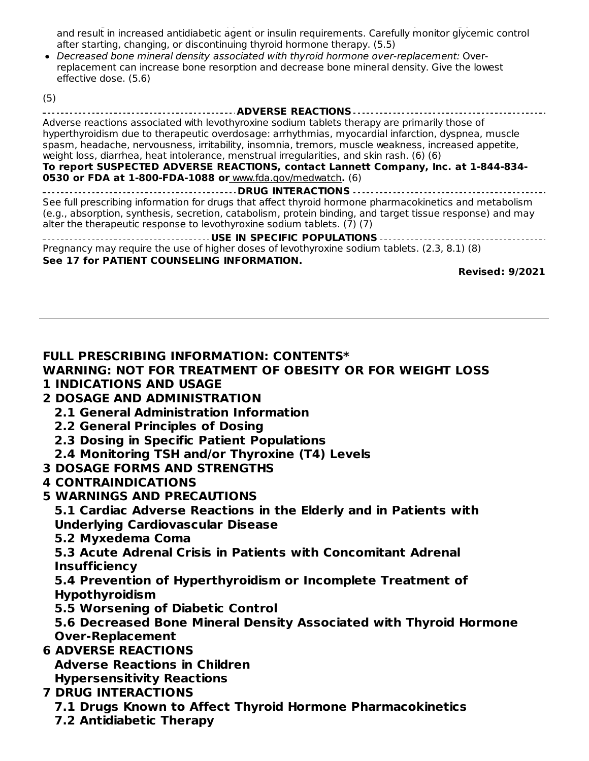Worsening of diabetic control: Therapy in patients with diabetes mellitus may worsen glycemic control and result in increased antidiabetic agent or insulin requirements. Carefully monitor glycemic control after starting, changing, or discontinuing thyroid hormone therapy. (5.5)

Decreased bone mineral density associated with thyroid hormone over-replacement: Overreplacement can increase bone resorption and decrease bone mineral density. Give the lowest effective dose. (5.6)

(5)

| <b>ADVERSE REACTIONS</b>                                                                                                                                                                                                                                                                       |
|------------------------------------------------------------------------------------------------------------------------------------------------------------------------------------------------------------------------------------------------------------------------------------------------|
| Adverse reactions associated with levothyroxine sodium tablets therapy are primarily those of                                                                                                                                                                                                  |
| hyperthyroidism due to therapeutic overdosage: arrhythmias, myocardial infarction, dyspnea, muscle                                                                                                                                                                                             |
| spasm, headache, nervousness, irritability, insomnia, tremors, muscle weakness, increased appetite,                                                                                                                                                                                            |
| weight loss, diarrhea, heat intolerance, menstrual irregularities, and skin rash. (6) (6)                                                                                                                                                                                                      |
| To report SUSPECTED ADVERSE REACTIONS, contact Lannett Company, Inc. at 1-844-834-                                                                                                                                                                                                             |
| 0530 or FDA at 1-800-FDA-1088 or www.fda.gov/medwatch. (6)                                                                                                                                                                                                                                     |
| <b>DRUG INTERACTIONS</b>                                                                                                                                                                                                                                                                       |
| See full prescribing information for drugs that affect thyroid hormone pharmacokinetics and metabolism<br>(e.g., absorption, synthesis, secretion, catabolism, protein binding, and target tissue response) and may<br>alter the therapeutic response to levothyroxine sodium tablets. (7) (7) |
| USE IN SPECIFIC POPULATIONS                                                                                                                                                                                                                                                                    |
| Pregnancy may require the use of higher doses of levothyroxine sodium tablets. (2.3, 8.1) (8)                                                                                                                                                                                                  |
| See 17 for PATIENT COUNSELING INFORMATION.                                                                                                                                                                                                                                                     |

**Revised: 9/2021**

### **FULL PRESCRIBING INFORMATION: CONTENTS\***

#### **WARNING: NOT FOR TREATMENT OF OBESITY OR FOR WEIGHT LOSS 1 INDICATIONS AND USAGE**

- **2 DOSAGE AND ADMINISTRATION**
	- **2.1 General Administration Information**
	- **2.2 General Principles of Dosing**
	- **2.3 Dosing in Specific Patient Populations**
	- **2.4 Monitoring TSH and/or Thyroxine (T4) Levels**
- **3 DOSAGE FORMS AND STRENGTHS**
- **4 CONTRAINDICATIONS**
- **5 WARNINGS AND PRECAUTIONS**
	- **5.1 Cardiac Adverse Reactions in the Elderly and in Patients with Underlying Cardiovascular Disease**
	- **5.2 Myxedema Coma**

**5.3 Acute Adrenal Crisis in Patients with Concomitant Adrenal Insufficiency**

**5.4 Prevention of Hyperthyroidism or Incomplete Treatment of Hypothyroidism**

**5.5 Worsening of Diabetic Control**

**5.6 Decreased Bone Mineral Density Associated with Thyroid Hormone Over-Replacement**

- **6 ADVERSE REACTIONS Adverse Reactions in Children Hypersensitivity Reactions**
- **7 DRUG INTERACTIONS**
	- **7.1 Drugs Known to Affect Thyroid Hormone Pharmacokinetics**
	- **7.2 Antidiabetic Therapy**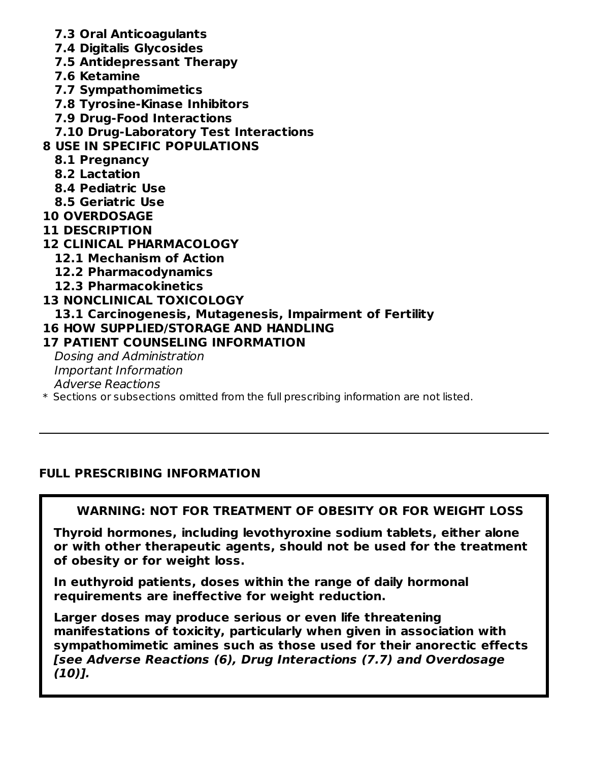- **7.3 Oral Anticoagulants**
- **7.4 Digitalis Glycosides**
- **7.5 Antidepressant Therapy**
- **7.6 Ketamine**
- **7.7 Sympathomimetics**
- **7.8 Tyrosine-Kinase Inhibitors**
- **7.9 Drug-Food Interactions**
- **7.10 Drug-Laboratory Test Interactions**

# **8 USE IN SPECIFIC POPULATIONS**

- **8.1 Pregnancy**
- **8.2 Lactation**
- **8.4 Pediatric Use**
- **8.5 Geriatric Use**
- **10 OVERDOSAGE**
- **11 DESCRIPTION**
- **12 CLINICAL PHARMACOLOGY**
	- **12.1 Mechanism of Action**
	- **12.2 Pharmacodynamics**
	- **12.3 Pharmacokinetics**

## **13 NONCLINICAL TOXICOLOGY**

- **13.1 Carcinogenesis, Mutagenesis, Impairment of Fertility**
- **16 HOW SUPPLIED/STORAGE AND HANDLING**

## **17 PATIENT COUNSELING INFORMATION**

Dosing and Administration Important Information Adverse Reactions

 $\ast$  Sections or subsections omitted from the full prescribing information are not listed.

## **FULL PRESCRIBING INFORMATION**

# **WARNING: NOT FOR TREATMENT OF OBESITY OR FOR WEIGHT LOSS**

**Thyroid hormones, including levothyroxine sodium tablets, either alone or with other therapeutic agents, should not be used for the treatment of obesity or for weight loss.**

**In euthyroid patients, doses within the range of daily hormonal requirements are ineffective for weight reduction.**

**Larger doses may produce serious or even life threatening manifestations of toxicity, particularly when given in association with sympathomimetic amines such as those used for their anorectic effects [see Adverse Reactions (6), Drug Interactions (7.7) and Overdosage (10)].**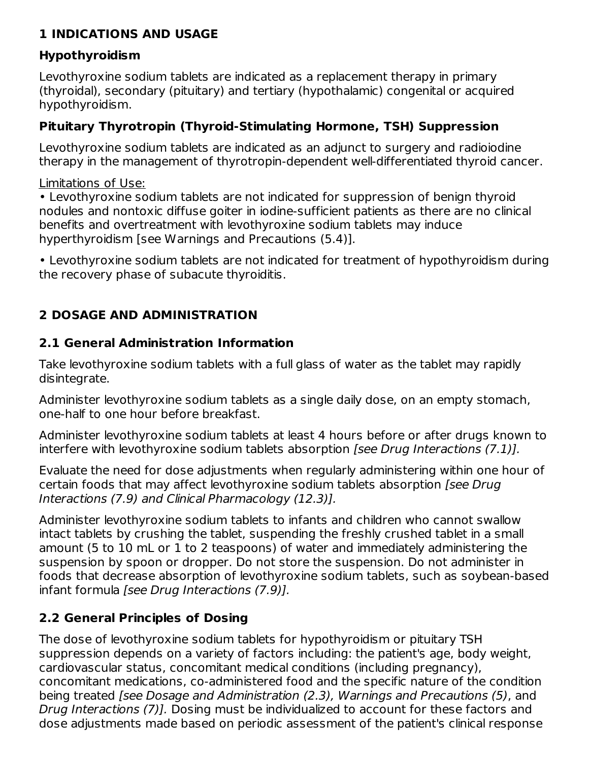## **1 INDICATIONS AND USAGE**

## **Hypothyroidism**

Levothyroxine sodium tablets are indicated as a replacement therapy in primary (thyroidal), secondary (pituitary) and tertiary (hypothalamic) congenital or acquired hypothyroidism.

# **Pituitary Thyrotropin (Thyroid-Stimulating Hormone, TSH) Suppression**

Levothyroxine sodium tablets are indicated as an adjunct to surgery and radioiodine therapy in the management of thyrotropin-dependent well-differentiated thyroid cancer.

## Limitations of Use:

• Levothyroxine sodium tablets are not indicated for suppression of benign thyroid nodules and nontoxic diffuse goiter in iodine-sufficient patients as there are no clinical benefits and overtreatment with levothyroxine sodium tablets may induce hyperthyroidism [see Warnings and Precautions (5.4)].

• Levothyroxine sodium tablets are not indicated for treatment of hypothyroidism during the recovery phase of subacute thyroiditis.

# **2 DOSAGE AND ADMINISTRATION**

# **2.1 General Administration Information**

Take levothyroxine sodium tablets with a full glass of water as the tablet may rapidly disintegrate.

Administer levothyroxine sodium tablets as a single daily dose, on an empty stomach, one-half to one hour before breakfast.

Administer levothyroxine sodium tablets at least 4 hours before or after drugs known to interfere with levothyroxine sodium tablets absorption [see Drug Interactions (7.1)].

Evaluate the need for dose adjustments when regularly administering within one hour of certain foods that may affect levothyroxine sodium tablets absorption [see Drug Interactions (7.9) and Clinical Pharmacology (12.3)].

Administer levothyroxine sodium tablets to infants and children who cannot swallow intact tablets by crushing the tablet, suspending the freshly crushed tablet in a small amount (5 to 10 mL or 1 to 2 teaspoons) of water and immediately administering the suspension by spoon or dropper. Do not store the suspension. Do not administer in foods that decrease absorption of levothyroxine sodium tablets, such as soybean-based infant formula [see Drug Interactions (7.9)].

# **2.2 General Principles of Dosing**

The dose of levothyroxine sodium tablets for hypothyroidism or pituitary TSH suppression depends on a variety of factors including: the patient's age, body weight, cardiovascular status, concomitant medical conditions (including pregnancy), concomitant medications, co-administered food and the specific nature of the condition being treated [see Dosage and Administration (2.3), Warnings and Precautions (5), and Drug Interactions (7)]. Dosing must be individualized to account for these factors and dose adjustments made based on periodic assessment of the patient's clinical response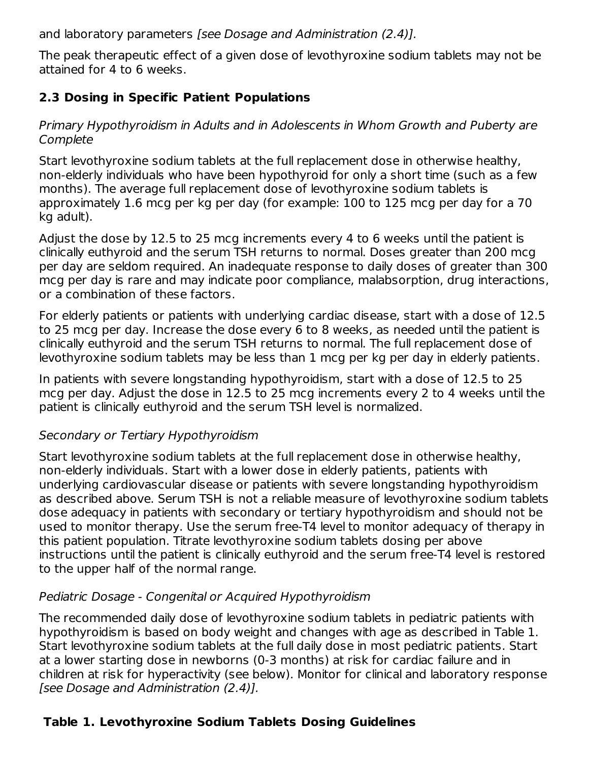and laboratory parameters [see Dosage and Administration (2.4)].

The peak therapeutic effect of a given dose of levothyroxine sodium tablets may not be attained for 4 to 6 weeks.

# **2.3 Dosing in Specific Patient Populations**

### Primary Hypothyroidism in Adults and in Adolescents in Whom Growth and Puberty are **Complete**

Start levothyroxine sodium tablets at the full replacement dose in otherwise healthy, non-elderly individuals who have been hypothyroid for only a short time (such as a few months). The average full replacement dose of levothyroxine sodium tablets is approximately 1.6 mcg per kg per day (for example: 100 to 125 mcg per day for a 70 kg adult).

Adjust the dose by 12.5 to 25 mcg increments every 4 to 6 weeks until the patient is clinically euthyroid and the serum TSH returns to normal. Doses greater than 200 mcg per day are seldom required. An inadequate response to daily doses of greater than 300 mcg per day is rare and may indicate poor compliance, malabsorption, drug interactions, or a combination of these factors.

For elderly patients or patients with underlying cardiac disease, start with a dose of 12.5 to 25 mcg per day. Increase the dose every 6 to 8 weeks, as needed until the patient is clinically euthyroid and the serum TSH returns to normal. The full replacement dose of levothyroxine sodium tablets may be less than 1 mcg per kg per day in elderly patients.

In patients with severe longstanding hypothyroidism, start with a dose of 12.5 to 25 mcg per day. Adjust the dose in 12.5 to 25 mcg increments every 2 to 4 weeks until the patient is clinically euthyroid and the serum TSH level is normalized.

## Secondary or Tertiary Hypothyroidism

Start levothyroxine sodium tablets at the full replacement dose in otherwise healthy, non-elderly individuals. Start with a lower dose in elderly patients, patients with underlying cardiovascular disease or patients with severe longstanding hypothyroidism as described above. Serum TSH is not a reliable measure of levothyroxine sodium tablets dose adequacy in patients with secondary or tertiary hypothyroidism and should not be used to monitor therapy. Use the serum free-T4 level to monitor adequacy of therapy in this patient population. Titrate levothyroxine sodium tablets dosing per above instructions until the patient is clinically euthyroid and the serum free-T4 level is restored to the upper half of the normal range.

## Pediatric Dosage - Congenital or Acquired Hypothyroidism

The recommended daily dose of levothyroxine sodium tablets in pediatric patients with hypothyroidism is based on body weight and changes with age as described in Table 1. Start levothyroxine sodium tablets at the full daily dose in most pediatric patients. Start at a lower starting dose in newborns (0-3 months) at risk for cardiac failure and in children at risk for hyperactivity (see below). Monitor for clinical and laboratory response [see Dosage and Administration (2.4)].

## **Table 1. Levothyroxine Sodium Tablets Dosing Guidelines**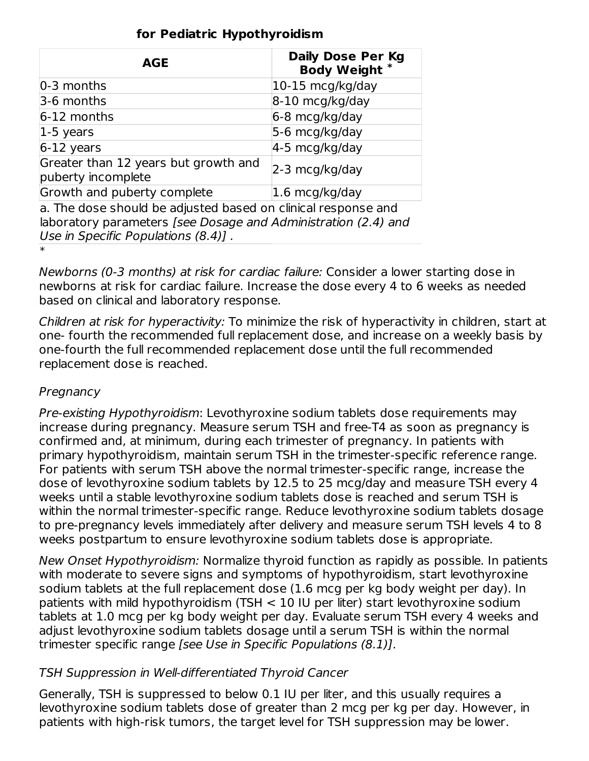| <b>AGE</b>                                                                                                                                                             | <b>Daily Dose Per Kg</b><br><b>Body Weight</b> |
|------------------------------------------------------------------------------------------------------------------------------------------------------------------------|------------------------------------------------|
| $ 0-3$ months                                                                                                                                                          | $10-15$ mcg/kg/day                             |
| $3-6$ months                                                                                                                                                           | $8-10$ mcg/kg/day                              |
| $6-12$ months                                                                                                                                                          | $6-8 \text{ mcg/kg/day}$                       |
| $ 1-5$ years                                                                                                                                                           | 5-6 mcg/kg/day                                 |
| $6-12$ years                                                                                                                                                           | $4-5$ mcg/kg/day                               |
| Greater than 12 years but growth and<br>puberty incomplete                                                                                                             | $ 2-3 \text{ mcg/kg/day}$                      |
| Growth and puberty complete                                                                                                                                            | $ 1.6 \text{ mcg/kg}/\text{day} $              |
| a. The dose should be adjusted based on clinical response and<br>laboratory parameters [see Dosage and Administration (2.4) and<br>Use in Specific Populations (8.4)]. |                                                |
| $\ast$                                                                                                                                                                 |                                                |

### **for Pediatric Hypothyroidism**

Newborns (0-3 months) at risk for cardiac failure: Consider a lower starting dose in newborns at risk for cardiac failure. Increase the dose every 4 to 6 weeks as needed based on clinical and laboratory response.

Children at risk for hyperactivity: To minimize the risk of hyperactivity in children, start at one- fourth the recommended full replacement dose, and increase on a weekly basis by one-fourth the full recommended replacement dose until the full recommended replacement dose is reached.

## **Pregnancy**

Pre-existing Hypothyroidism: Levothyroxine sodium tablets dose requirements may increase during pregnancy. Measure serum TSH and free-T4 as soon as pregnancy is confirmed and, at minimum, during each trimester of pregnancy. In patients with primary hypothyroidism, maintain serum TSH in the trimester-specific reference range. For patients with serum TSH above the normal trimester-specific range, increase the dose of levothyroxine sodium tablets by 12.5 to 25 mcg/day and measure TSH every 4 weeks until a stable levothyroxine sodium tablets dose is reached and serum TSH is within the normal trimester-specific range. Reduce levothyroxine sodium tablets dosage to pre-pregnancy levels immediately after delivery and measure serum TSH levels 4 to 8 weeks postpartum to ensure levothyroxine sodium tablets dose is appropriate.

New Onset Hypothyroidism: Normalize thyroid function as rapidly as possible. In patients with moderate to severe signs and symptoms of hypothyroidism, start levothyroxine sodium tablets at the full replacement dose (1.6 mcg per kg body weight per day). In patients with mild hypothyroidism (TSH < 10 IU per liter) start levothyroxine sodium tablets at 1.0 mcg per kg body weight per day. Evaluate serum TSH every 4 weeks and adjust levothyroxine sodium tablets dosage until a serum TSH is within the normal trimester specific range [see Use in Specific Populations (8.1)].

## TSH Suppression in Well-differentiated Thyroid Cancer

Generally, TSH is suppressed to below 0.1 IU per liter, and this usually requires a levothyroxine sodium tablets dose of greater than 2 mcg per kg per day. However, in patients with high-risk tumors, the target level for TSH suppression may be lower.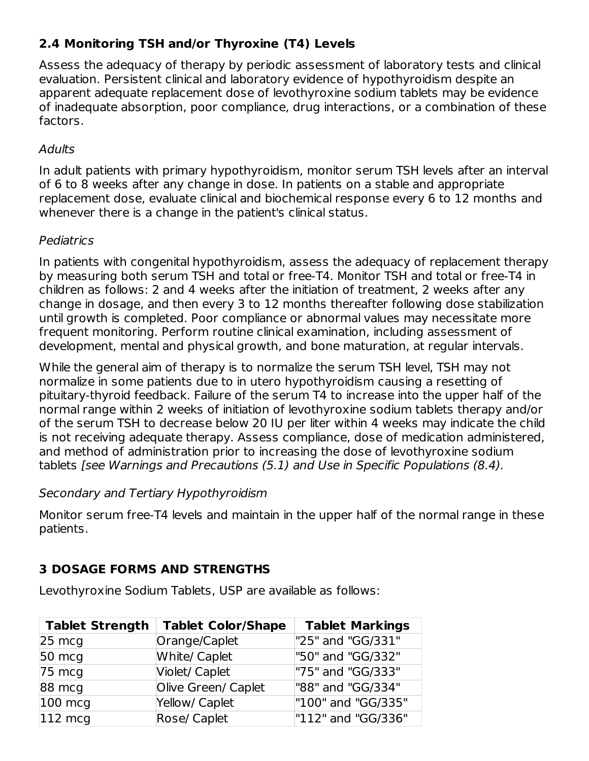# **2.4 Monitoring TSH and/or Thyroxine (T4) Levels**

Assess the adequacy of therapy by periodic assessment of laboratory tests and clinical evaluation. Persistent clinical and laboratory evidence of hypothyroidism despite an apparent adequate replacement dose of levothyroxine sodium tablets may be evidence of inadequate absorption, poor compliance, drug interactions, or a combination of these factors.

### **Adults**

In adult patients with primary hypothyroidism, monitor serum TSH levels after an interval of 6 to 8 weeks after any change in dose. In patients on a stable and appropriate replacement dose, evaluate clinical and biochemical response every 6 to 12 months and whenever there is a change in the patient's clinical status.

### Pediatrics

In patients with congenital hypothyroidism, assess the adequacy of replacement therapy by measuring both serum TSH and total or free-T4. Monitor TSH and total or free-T4 in children as follows: 2 and 4 weeks after the initiation of treatment, 2 weeks after any change in dosage, and then every 3 to 12 months thereafter following dose stabilization until growth is completed. Poor compliance or abnormal values may necessitate more frequent monitoring. Perform routine clinical examination, including assessment of development, mental and physical growth, and bone maturation, at regular intervals.

While the general aim of therapy is to normalize the serum TSH level, TSH may not normalize in some patients due to in utero hypothyroidism causing a resetting of pituitary-thyroid feedback. Failure of the serum T4 to increase into the upper half of the normal range within 2 weeks of initiation of levothyroxine sodium tablets therapy and/or of the serum TSH to decrease below 20 IU per liter within 4 weeks may indicate the child is not receiving adequate therapy. Assess compliance, dose of medication administered, and method of administration prior to increasing the dose of levothyroxine sodium tablets [see Warnings and Precautions (5.1) and Use in Specific Populations (8.4).

### Secondary and Tertiary Hypothyroidism

Monitor serum free-T4 levels and maintain in the upper half of the normal range in these patients.

# **3 DOSAGE FORMS AND STRENGTHS**

Levothyroxine Sodium Tablets, USP are available as follows:

| <b>Tablet Strength</b> | <b>Tablet Color/Shape</b> | <b>Tablet Markings</b> |
|------------------------|---------------------------|------------------------|
| $25 \text{ mcg}$       | Orange/Caplet             | "25" and "GG/331"      |
| $50 \text{ mcg}$       | <b>White/ Caplet</b>      | "50" and "GG/332"      |
| $75 \text{ mcg}$       | Violet/ Caplet            | "75" and "GG/333"      |
| 88 mcg                 | Olive Green/ Caplet       | "88" and "GG/334"      |
| $100 \text{ mcq}$      | Yellow/ Caplet            | "100" and "GG/335"     |
| $112 \text{ mcq}$      | Rose/ Caplet              | "112" and "GG/336"     |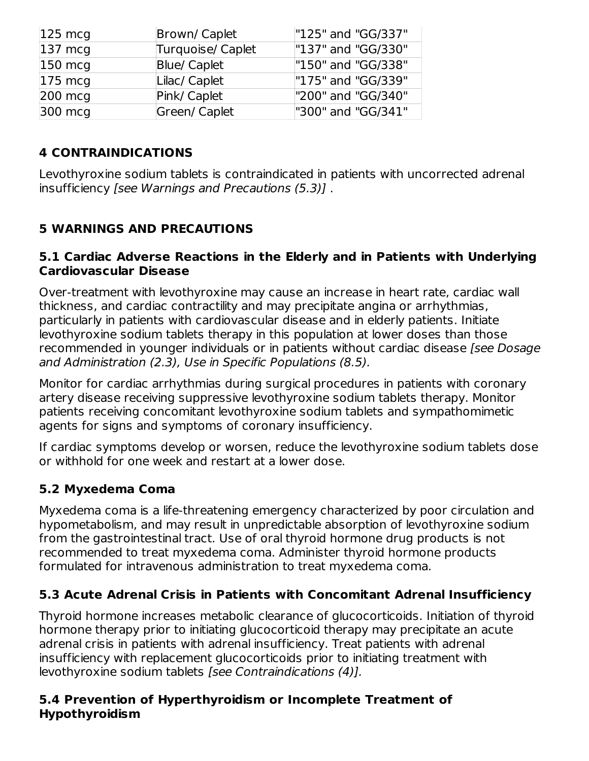| $ 125 \text{ mcg} $ | Brown/Caplet        | "125" and "GG/337" |
|---------------------|---------------------|--------------------|
| $ 137 \text{ mcg} $ | Turquoise/ Caplet   | "137" and "GG/330" |
| $150 \text{ m}$     | <b>Blue/ Caplet</b> | "150" and "GG/338" |
| $175 \text{ mcq}$   | Lilac/ Caplet       | "175" and "GG/339" |
| 200 mcg             | Pink/ Caplet        | "200" and "GG/340" |
| 300 mcg             | Green/ Caplet       | "300" and "GG/341" |

# **4 CONTRAINDICATIONS**

Levothyroxine sodium tablets is contraindicated in patients with uncorrected adrenal insufficiency [see Warnings and Precautions (5.3)] .

# **5 WARNINGS AND PRECAUTIONS**

### **5.1 Cardiac Adverse Reactions in the Elderly and in Patients with Underlying Cardiovascular Disease**

Over-treatment with levothyroxine may cause an increase in heart rate, cardiac wall thickness, and cardiac contractility and may precipitate angina or arrhythmias, particularly in patients with cardiovascular disease and in elderly patients. Initiate levothyroxine sodium tablets therapy in this population at lower doses than those recommended in younger individuals or in patients without cardiac disease [see Dosage and Administration (2.3), Use in Specific Populations (8.5).

Monitor for cardiac arrhythmias during surgical procedures in patients with coronary artery disease receiving suppressive levothyroxine sodium tablets therapy. Monitor patients receiving concomitant levothyroxine sodium tablets and sympathomimetic agents for signs and symptoms of coronary insufficiency.

If cardiac symptoms develop or worsen, reduce the levothyroxine sodium tablets dose or withhold for one week and restart at a lower dose.

## **5.2 Myxedema Coma**

Myxedema coma is a life-threatening emergency characterized by poor circulation and hypometabolism, and may result in unpredictable absorption of levothyroxine sodium from the gastrointestinal tract. Use of oral thyroid hormone drug products is not recommended to treat myxedema coma. Administer thyroid hormone products formulated for intravenous administration to treat myxedema coma.

# **5.3 Acute Adrenal Crisis in Patients with Concomitant Adrenal Insufficiency**

Thyroid hormone increases metabolic clearance of glucocorticoids. Initiation of thyroid hormone therapy prior to initiating glucocorticoid therapy may precipitate an acute adrenal crisis in patients with adrenal insufficiency. Treat patients with adrenal insufficiency with replacement glucocorticoids prior to initiating treatment with levothyroxine sodium tablets [see Contraindications (4)].

### **5.4 Prevention of Hyperthyroidism or Incomplete Treatment of Hypothyroidism**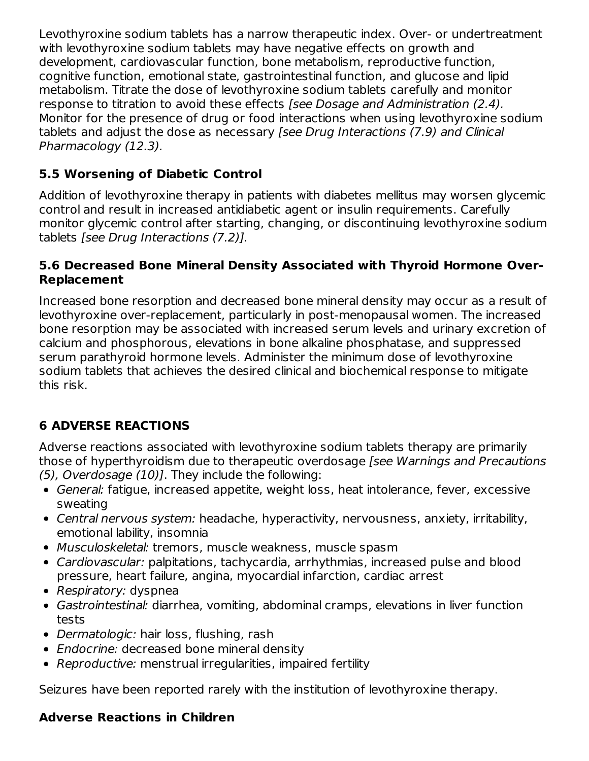Levothyroxine sodium tablets has a narrow therapeutic index. Over- or undertreatment with levothyroxine sodium tablets may have negative effects on growth and development, cardiovascular function, bone metabolism, reproductive function, cognitive function, emotional state, gastrointestinal function, and glucose and lipid metabolism. Titrate the dose of levothyroxine sodium tablets carefully and monitor response to titration to avoid these effects [see Dosage and Administration (2.4). Monitor for the presence of drug or food interactions when using levothyroxine sodium tablets and adjust the dose as necessary [see Drug Interactions (7.9) and Clinical Pharmacology (12.3).

# **5.5 Worsening of Diabetic Control**

Addition of levothyroxine therapy in patients with diabetes mellitus may worsen glycemic control and result in increased antidiabetic agent or insulin requirements. Carefully monitor glycemic control after starting, changing, or discontinuing levothyroxine sodium tablets [see Drug Interactions (7.2)].

## **5.6 Decreased Bone Mineral Density Associated with Thyroid Hormone Over-Replacement**

Increased bone resorption and decreased bone mineral density may occur as a result of levothyroxine over-replacement, particularly in post-menopausal women. The increased bone resorption may be associated with increased serum levels and urinary excretion of calcium and phosphorous, elevations in bone alkaline phosphatase, and suppressed serum parathyroid hormone levels. Administer the minimum dose of levothyroxine sodium tablets that achieves the desired clinical and biochemical response to mitigate this risk.

# **6 ADVERSE REACTIONS**

Adverse reactions associated with levothyroxine sodium tablets therapy are primarily those of hyperthyroidism due to therapeutic overdosage [see Warnings and Precautions (5), Overdosage (10)]. They include the following:

- General: fatigue, increased appetite, weight loss, heat intolerance, fever, excessive sweating
- Central nervous system: headache, hyperactivity, nervousness, anxiety, irritability, emotional lability, insomnia
- Musculoskeletal: tremors, muscle weakness, muscle spasm
- Cardiovascular: palpitations, tachycardia, arrhythmias, increased pulse and blood pressure, heart failure, angina, myocardial infarction, cardiac arrest
- Respiratory: dyspnea
- Gastrointestinal: diarrhea, vomiting, abdominal cramps, elevations in liver function tests
- Dermatologic: hair loss, flushing, rash
- Endocrine: decreased bone mineral density
- Reproductive: menstrual irregularities, impaired fertility

Seizures have been reported rarely with the institution of levothyroxine therapy.

## **Adverse Reactions in Children**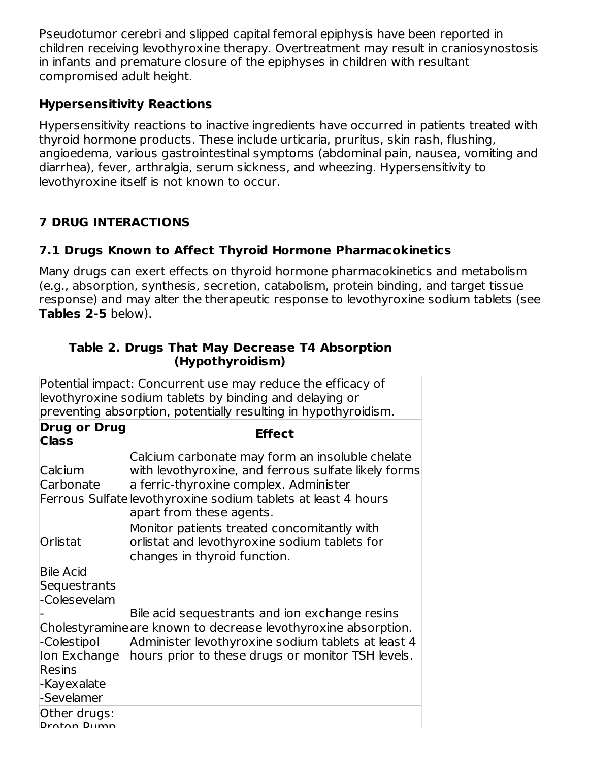Pseudotumor cerebri and slipped capital femoral epiphysis have been reported in children receiving levothyroxine therapy. Overtreatment may result in craniosynostosis in infants and premature closure of the epiphyses in children with resultant compromised adult height.

### **Hypersensitivity Reactions**

Hypersensitivity reactions to inactive ingredients have occurred in patients treated with thyroid hormone products. These include urticaria, pruritus, skin rash, flushing, angioedema, various gastrointestinal symptoms (abdominal pain, nausea, vomiting and diarrhea), fever, arthralgia, serum sickness, and wheezing. Hypersensitivity to levothyroxine itself is not known to occur.

# **7 DRUG INTERACTIONS**

## **7.1 Drugs Known to Affect Thyroid Hormone Pharmacokinetics**

Many drugs can exert effects on thyroid hormone pharmacokinetics and metabolism (e.g., absorption, synthesis, secretion, catabolism, protein binding, and target tissue response) and may alter the therapeutic response to levothyroxine sodium tablets (see **Tables 2-5** below).

| (Hypothyroidism)                                                                                                                                                                          |                                                                                                                                                                                                                                                |  |
|-------------------------------------------------------------------------------------------------------------------------------------------------------------------------------------------|------------------------------------------------------------------------------------------------------------------------------------------------------------------------------------------------------------------------------------------------|--|
| Potential impact: Concurrent use may reduce the efficacy of<br>levothyroxine sodium tablets by binding and delaying or<br>preventing absorption, potentially resulting in hypothyroidism. |                                                                                                                                                                                                                                                |  |
| <b>Drug or Drug</b><br><b>Class</b>                                                                                                                                                       | <b>Effect</b>                                                                                                                                                                                                                                  |  |
| Calcium<br>Carbonate                                                                                                                                                                      | Calcium carbonate may form an insoluble chelate<br>with levothyroxine, and ferrous sulfate likely forms<br>a ferric-thyroxine complex. Administer<br>Ferrous Sulfate levothyroxine sodium tablets at least 4 hours<br>apart from these agents. |  |
| Orlistat                                                                                                                                                                                  | Monitor patients treated concomitantly with<br>orlistat and levothyroxine sodium tablets for<br>changes in thyroid function.                                                                                                                   |  |
| <b>Bile Acid</b><br>Sequestrants<br>-Colesevelam<br>-Colestipol<br>Ion Exchange<br><b>Resins</b><br>-Kayexalate<br>-Sevelamer                                                             | Bile acid sequestrants and ion exchange resins<br>Cholestyramine are known to decrease levothyroxine absorption.<br>Administer levothyroxine sodium tablets at least 4<br>hours prior to these drugs or monitor TSH levels.                    |  |
| Other drugs:<br>Droton Dumn                                                                                                                                                               |                                                                                                                                                                                                                                                |  |

### **Table 2. Drugs That May Decrease T4 Absorption (Hypothyroidism)**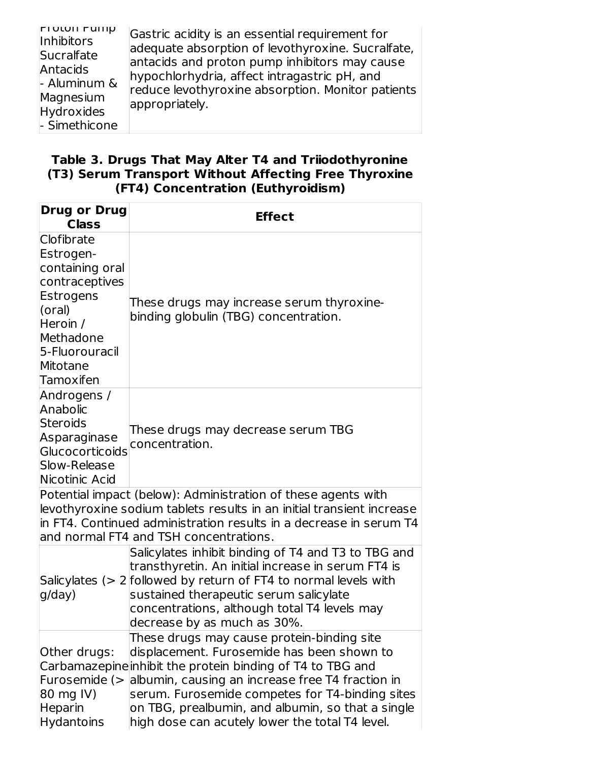| <b>FIULUII FUIIID</b><br><b>Inhibitors</b><br>Sucralfate<br>Antacids<br>- Aluminum &<br>Magnesium<br>Hydroxides<br>- Simethicone | Gastric acidity is an essential requirement for<br>adequate absorption of levothyroxine. Sucralfate,<br>antacids and proton pump inhibitors may cause<br>hypochlorhydria, affect intragastric pH, and<br>reduce levothyroxine absorption. Monitor patients<br>appropriately. |
|----------------------------------------------------------------------------------------------------------------------------------|------------------------------------------------------------------------------------------------------------------------------------------------------------------------------------------------------------------------------------------------------------------------------|
|----------------------------------------------------------------------------------------------------------------------------------|------------------------------------------------------------------------------------------------------------------------------------------------------------------------------------------------------------------------------------------------------------------------------|

#### **Table 3. Drugs That May Alter T4 and Triiodothyronine (T3) Serum Transport Without Affecting Free Thyroxine (FT4) Concentration (Euthyroidism)**

| <b>Drug or Drug</b><br><b>Class</b>                                                                                                                     | <b>Effect</b>                                                                                                                                                                                                                                                                                                                                                         |
|---------------------------------------------------------------------------------------------------------------------------------------------------------|-----------------------------------------------------------------------------------------------------------------------------------------------------------------------------------------------------------------------------------------------------------------------------------------------------------------------------------------------------------------------|
| Clofibrate<br>Estrogen-<br>containing oral<br>contraceptives<br>Estrogens<br>(oral)<br>Heroin /<br>Methadone<br>5-Fluorouracil<br>Mitotane<br>Tamoxifen | These drugs may increase serum thyroxine-<br>binding globulin (TBG) concentration.                                                                                                                                                                                                                                                                                    |
| Androgens /<br>Anabolic<br><b>Steroids</b><br>Asparaginase<br><b>Glucocorticoids</b><br>Slow-Release<br>Nicotinic Acid                                  | These drugs may decrease serum TBG<br>concentration.                                                                                                                                                                                                                                                                                                                  |
|                                                                                                                                                         | Potential impact (below): Administration of these agents with<br>levothyroxine sodium tablets results in an initial transient increase<br>in FT4. Continued administration results in a decrease in serum T4<br>and normal FT4 and TSH concentrations.                                                                                                                |
| g/day)                                                                                                                                                  | Salicylates inhibit binding of T4 and T3 to TBG and<br>transthyretin. An initial increase in serum FT4 is<br>Salicylates $(> 2$ followed by return of FT4 to normal levels with<br>sustained therapeutic serum salicylate<br>concentrations, although total T4 levels may<br>decrease by as much as 30%.                                                              |
| Other drugs:<br>Furosemide (><br>80 mg IV)<br><b>Heparin</b><br><b>Hydantoins</b>                                                                       | These drugs may cause protein-binding site<br>displacement. Furosemide has been shown to<br>Carbamazepine inhibit the protein binding of T4 to TBG and<br>albumin, causing an increase free T4 fraction in<br>serum. Furosemide competes for T4-binding sites<br>on TBG, prealbumin, and albumin, so that a single<br>high dose can acutely lower the total T4 level. |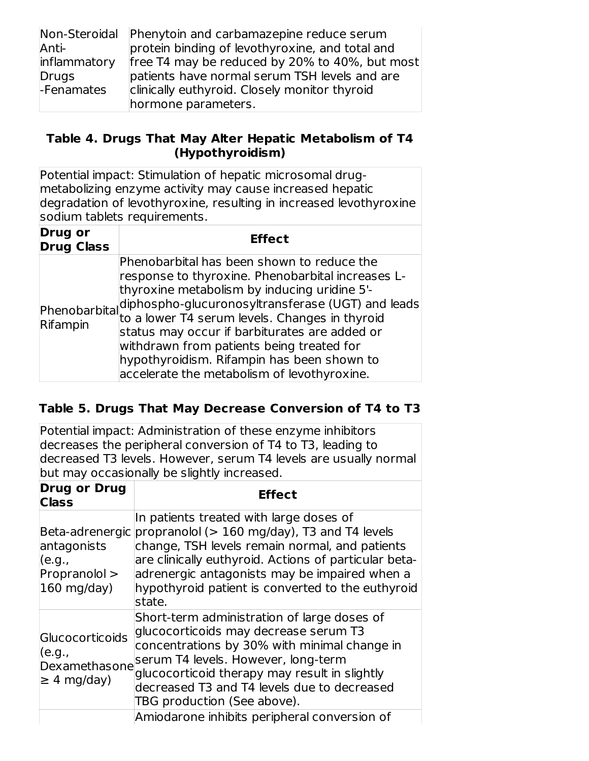|              | Non-Steroidal Phenytoin and carbamazepine reduce serum |
|--------------|--------------------------------------------------------|
| Anti-        | protein binding of levothyroxine, and total and        |
| inflammatory | free T4 may be reduced by 20% to 40%, but most         |
| Drugs        | patients have normal serum TSH levels and are          |
| -Fenamates   | clinically euthyroid. Closely monitor thyroid          |
|              | hormone parameters.                                    |

### **Table 4. Drugs That May Alter Hepatic Metabolism of T4 (Hypothyroidism)**

Potential impact: Stimulation of hepatic microsomal drugmetabolizing enzyme activity may cause increased hepatic degradation of levothyroxine, resulting in increased levothyroxine sodium tablets requirements.

| <b>Drug or</b><br><b>Drug Class</b> | <b>Effect</b>                                                                                                                                                                                                                                                                                                                                                                                                                                                                                                                      |
|-------------------------------------|------------------------------------------------------------------------------------------------------------------------------------------------------------------------------------------------------------------------------------------------------------------------------------------------------------------------------------------------------------------------------------------------------------------------------------------------------------------------------------------------------------------------------------|
| Rifampin                            | Phenobarbital has been shown to reduce the<br>response to thyroxine. Phenobarbital increases L-<br>thyroxine metabolism by inducing uridine 5'-<br>$\left  \begin{array}{c}   \\   \\   \end{array} \right $ phenobarbital diphospho-glucuronosyltransferase (UGT) and leads<br>pifomoin to a lower T4 serum levels. Changes in thyroid<br>status may occur if barbiturates are added or<br>withdrawn from patients being treated for<br>hypothyroidism. Rifampin has been shown to<br>accelerate the metabolism of levothyroxine. |

## **Table 5. Drugs That May Decrease Conversion of T4 to T3**

Potential impact: Administration of these enzyme inhibitors decreases the peripheral conversion of T4 to T3, leading to decreased T3 levels. However, serum T4 levels are usually normal but may occasionally be slightly increased.

| <b>Drug or Drug</b><br><b>Class</b>                            | <b>Effect</b>                                                                                                                                                                                                                                                                                                                      |
|----------------------------------------------------------------|------------------------------------------------------------------------------------------------------------------------------------------------------------------------------------------------------------------------------------------------------------------------------------------------------------------------------------|
| antagonists<br>(e.g.,<br>Propranolol ><br>$160$ mg/day)        | In patients treated with large doses of<br>Beta-adrenergic propranolol (> 160 mg/day), T3 and T4 levels<br>change, TSH levels remain normal, and patients<br>are clinically euthyroid. Actions of particular beta-<br>adrenergic antagonists may be impaired when a<br>hypothyroid patient is converted to the euthyroid<br>state. |
| Glucocorticoids<br>(e.g.,<br>Dexamethasone<br>$\geq$ 4 mg/day) | Short-term administration of large doses of<br>glucocorticoids may decrease serum T3<br>concentrations by 30% with minimal change in<br>serum T4 levels. However, long-term<br>glucocorticoid therapy may result in slightly<br>decreased T3 and T4 levels due to decreased<br>TBG production (See above).                         |
|                                                                | Amiodarone inhibits peripheral conversion of                                                                                                                                                                                                                                                                                       |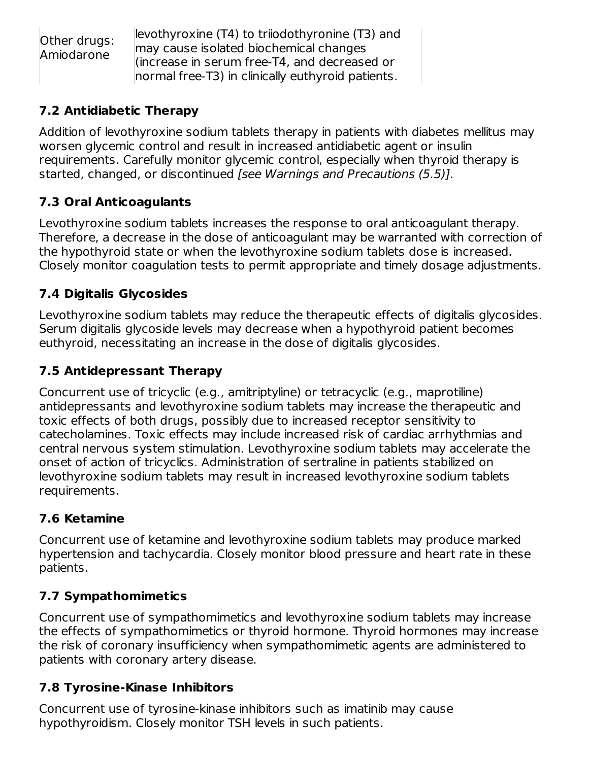| Other drugs: | levothyroxine (T4) to trijodothyronine (T3) and                                                   |
|--------------|---------------------------------------------------------------------------------------------------|
| Amiodarone   | may cause isolated biochemical changes                                                            |
|              | (increase in serum free-T4, and decreased or<br>normal free-T3) in clinically euthyroid patients. |

## **7.2 Antidiabetic Therapy**

Addition of levothyroxine sodium tablets therapy in patients with diabetes mellitus may worsen glycemic control and result in increased antidiabetic agent or insulin requirements. Carefully monitor glycemic control, especially when thyroid therapy is started, changed, or discontinued [see Warnings and Precautions (5.5)].

# **7.3 Oral Anticoagulants**

Levothyroxine sodium tablets increases the response to oral anticoagulant therapy. Therefore, a decrease in the dose of anticoagulant may be warranted with correction of the hypothyroid state or when the levothyroxine sodium tablets dose is increased. Closely monitor coagulation tests to permit appropriate and timely dosage adjustments.

# **7.4 Digitalis Glycosides**

Levothyroxine sodium tablets may reduce the therapeutic effects of digitalis glycosides. Serum digitalis glycoside levels may decrease when a hypothyroid patient becomes euthyroid, necessitating an increase in the dose of digitalis glycosides.

# **7.5 Antidepressant Therapy**

Concurrent use of tricyclic (e.g., amitriptyline) or tetracyclic (e.g., maprotiline) antidepressants and levothyroxine sodium tablets may increase the therapeutic and toxic effects of both drugs, possibly due to increased receptor sensitivity to catecholamines. Toxic effects may include increased risk of cardiac arrhythmias and central nervous system stimulation. Levothyroxine sodium tablets may accelerate the onset of action of tricyclics. Administration of sertraline in patients stabilized on levothyroxine sodium tablets may result in increased levothyroxine sodium tablets requirements.

# **7.6 Ketamine**

Concurrent use of ketamine and levothyroxine sodium tablets may produce marked hypertension and tachycardia. Closely monitor blood pressure and heart rate in these patients.

# **7.7 Sympathomimetics**

Concurrent use of sympathomimetics and levothyroxine sodium tablets may increase the effects of sympathomimetics or thyroid hormone. Thyroid hormones may increase the risk of coronary insufficiency when sympathomimetic agents are administered to patients with coronary artery disease.

# **7.8 Tyrosine-Kinase Inhibitors**

Concurrent use of tyrosine-kinase inhibitors such as imatinib may cause hypothyroidism. Closely monitor TSH levels in such patients.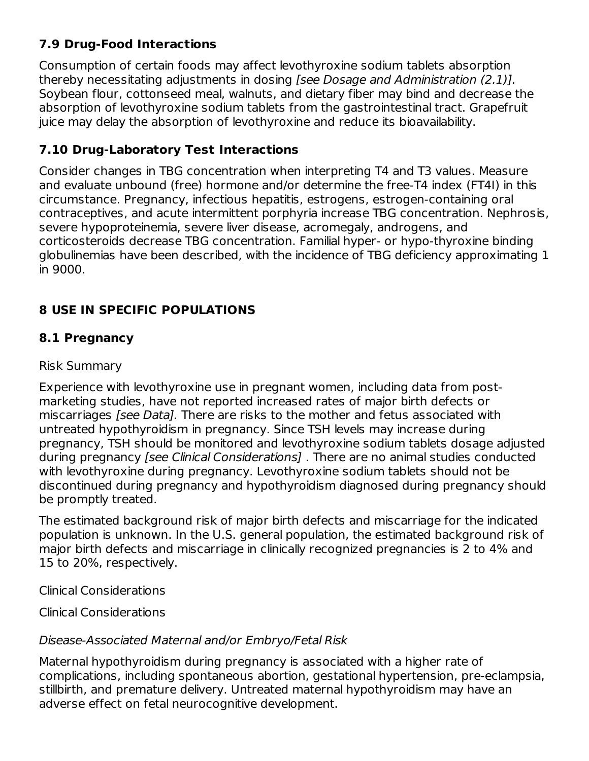# **7.9 Drug-Food Interactions**

Consumption of certain foods may affect levothyroxine sodium tablets absorption thereby necessitating adjustments in dosing [see Dosage and Administration (2.1)]. Soybean flour, cottonseed meal, walnuts, and dietary fiber may bind and decrease the absorption of levothyroxine sodium tablets from the gastrointestinal tract. Grapefruit juice may delay the absorption of levothyroxine and reduce its bioavailability.

### **7.10 Drug-Laboratory Test Interactions**

Consider changes in TBG concentration when interpreting T4 and T3 values. Measure and evaluate unbound (free) hormone and/or determine the free-T4 index (FT4I) in this circumstance. Pregnancy, infectious hepatitis, estrogens, estrogen-containing oral contraceptives, and acute intermittent porphyria increase TBG concentration. Nephrosis, severe hypoproteinemia, severe liver disease, acromegaly, androgens, and corticosteroids decrease TBG concentration. Familial hyper- or hypo-thyroxine binding globulinemias have been described, with the incidence of TBG deficiency approximating 1 in 9000.

## **8 USE IN SPECIFIC POPULATIONS**

## **8.1 Pregnancy**

### Risk Summary

Experience with levothyroxine use in pregnant women, including data from postmarketing studies, have not reported increased rates of major birth defects or miscarriages *[see Data]*. There are risks to the mother and fetus associated with untreated hypothyroidism in pregnancy. Since TSH levels may increase during pregnancy, TSH should be monitored and levothyroxine sodium tablets dosage adjusted during pregnancy [see Clinical Considerations]. There are no animal studies conducted with levothyroxine during pregnancy. Levothyroxine sodium tablets should not be discontinued during pregnancy and hypothyroidism diagnosed during pregnancy should be promptly treated.

The estimated background risk of major birth defects and miscarriage for the indicated population is unknown. In the U.S. general population, the estimated background risk of major birth defects and miscarriage in clinically recognized pregnancies is 2 to 4% and 15 to 20%, respectively.

Clinical Considerations

Clinical Considerations

## Disease-Associated Maternal and/or Embryo/Fetal Risk

Maternal hypothyroidism during pregnancy is associated with a higher rate of complications, including spontaneous abortion, gestational hypertension, pre-eclampsia, stillbirth, and premature delivery. Untreated maternal hypothyroidism may have an adverse effect on fetal neurocognitive development.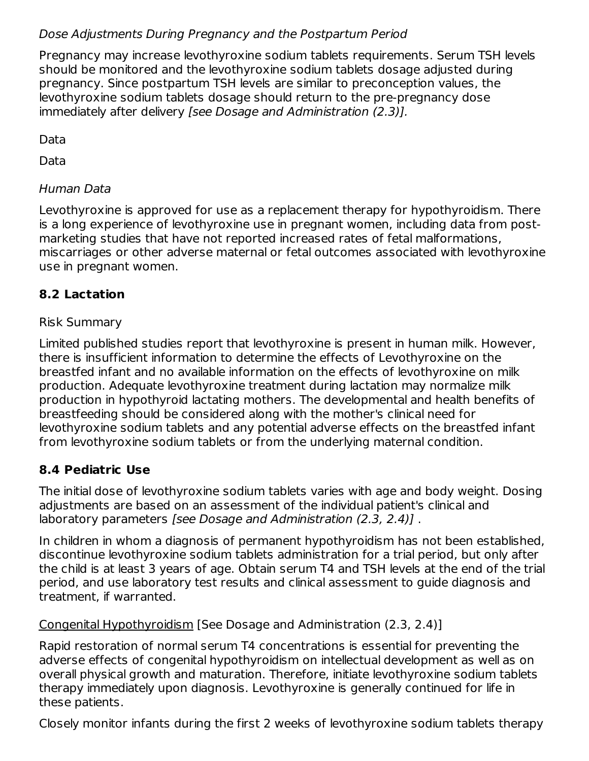## Dose Adjustments During Pregnancy and the Postpartum Period

Pregnancy may increase levothyroxine sodium tablets requirements. Serum TSH levels should be monitored and the levothyroxine sodium tablets dosage adjusted during pregnancy. Since postpartum TSH levels are similar to preconception values, the levothyroxine sodium tablets dosage should return to the pre-pregnancy dose immediately after delivery [see Dosage and Administration (2.3)].

Data

Data

# Human Data

Levothyroxine is approved for use as a replacement therapy for hypothyroidism. There is a long experience of levothyroxine use in pregnant women, including data from postmarketing studies that have not reported increased rates of fetal malformations, miscarriages or other adverse maternal or fetal outcomes associated with levothyroxine use in pregnant women.

# **8.2 Lactation**

## Risk Summary

Limited published studies report that levothyroxine is present in human milk. However, there is insufficient information to determine the effects of Levothyroxine on the breastfed infant and no available information on the effects of levothyroxine on milk production. Adequate levothyroxine treatment during lactation may normalize milk production in hypothyroid lactating mothers. The developmental and health benefits of breastfeeding should be considered along with the mother's clinical need for levothyroxine sodium tablets and any potential adverse effects on the breastfed infant from levothyroxine sodium tablets or from the underlying maternal condition.

## **8.4 Pediatric Use**

The initial dose of levothyroxine sodium tablets varies with age and body weight. Dosing adjustments are based on an assessment of the individual patient's clinical and laboratory parameters [see Dosage and Administration (2.3, 2.4)].

In children in whom a diagnosis of permanent hypothyroidism has not been established, discontinue levothyroxine sodium tablets administration for a trial period, but only after the child is at least 3 years of age. Obtain serum T4 and TSH levels at the end of the trial period, and use laboratory test results and clinical assessment to guide diagnosis and treatment, if warranted.

Congenital Hypothyroidism [See Dosage and Administration (2.3, 2.4)]

Rapid restoration of normal serum T4 concentrations is essential for preventing the adverse effects of congenital hypothyroidism on intellectual development as well as on overall physical growth and maturation. Therefore, initiate levothyroxine sodium tablets therapy immediately upon diagnosis. Levothyroxine is generally continued for life in these patients.

Closely monitor infants during the first 2 weeks of levothyroxine sodium tablets therapy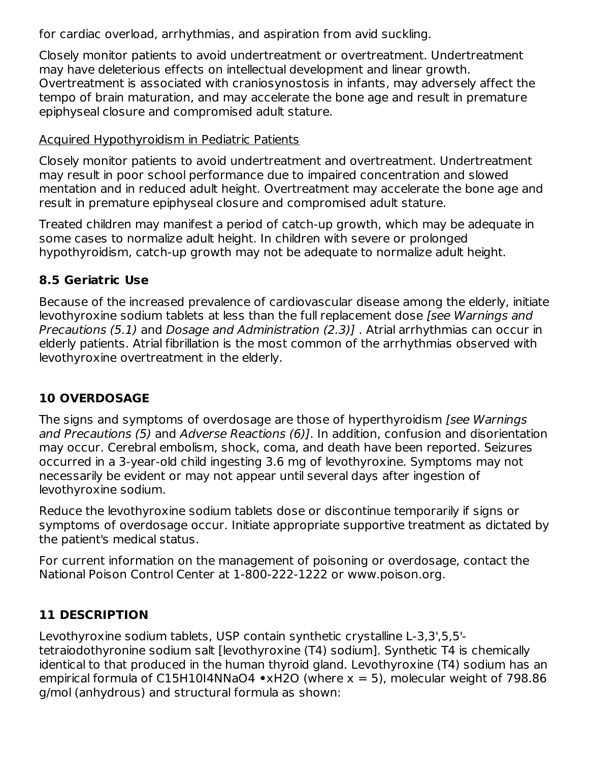for cardiac overload, arrhythmias, and aspiration from avid suckling.

Closely monitor patients to avoid undertreatment or overtreatment. Undertreatment may have deleterious effects on intellectual development and linear growth. Overtreatment is associated with craniosynostosis in infants, may adversely affect the tempo of brain maturation, and may accelerate the bone age and result in premature epiphyseal closure and compromised adult stature.

### Acquired Hypothyroidism in Pediatric Patients

Closely monitor patients to avoid undertreatment and overtreatment. Undertreatment may result in poor school performance due to impaired concentration and slowed mentation and in reduced adult height. Overtreatment may accelerate the bone age and result in premature epiphyseal closure and compromised adult stature.

Treated children may manifest a period of catch-up growth, which may be adequate in some cases to normalize adult height. In children with severe or prolonged hypothyroidism, catch-up growth may not be adequate to normalize adult height.

## **8.5 Geriatric Use**

Because of the increased prevalence of cardiovascular disease among the elderly, initiate levothyroxine sodium tablets at less than the full replacement dose *[see Warnings and* Precautions (5.1) and Dosage and Administration (2.3)] . Atrial arrhythmias can occur in elderly patients. Atrial fibrillation is the most common of the arrhythmias observed with levothyroxine overtreatment in the elderly.

# **10 OVERDOSAGE**

The signs and symptoms of overdosage are those of hyperthyroidism *[see Warnings*] and Precautions (5) and Adverse Reactions (6)]. In addition, confusion and disorientation may occur. Cerebral embolism, shock, coma, and death have been reported. Seizures occurred in a 3-year-old child ingesting 3.6 mg of levothyroxine. Symptoms may not necessarily be evident or may not appear until several days after ingestion of levothyroxine sodium.

Reduce the levothyroxine sodium tablets dose or discontinue temporarily if signs or symptoms of overdosage occur. Initiate appropriate supportive treatment as dictated by the patient's medical status.

For current information on the management of poisoning or overdosage, contact the National Poison Control Center at 1-800-222-1222 or www.poison.org.

## **11 DESCRIPTION**

Levothyroxine sodium tablets, USP contain synthetic crystalline L-3,3',5,5' tetraiodothyronine sodium salt [levothyroxine (T4) sodium]. Synthetic T4 is chemically identical to that produced in the human thyroid gland. Levothyroxine (T4) sodium has an empirical formula of C15H10I4NNaO4 **•**xH2O (where x = 5), molecular weight of 798.86 g/mol (anhydrous) and structural formula as shown: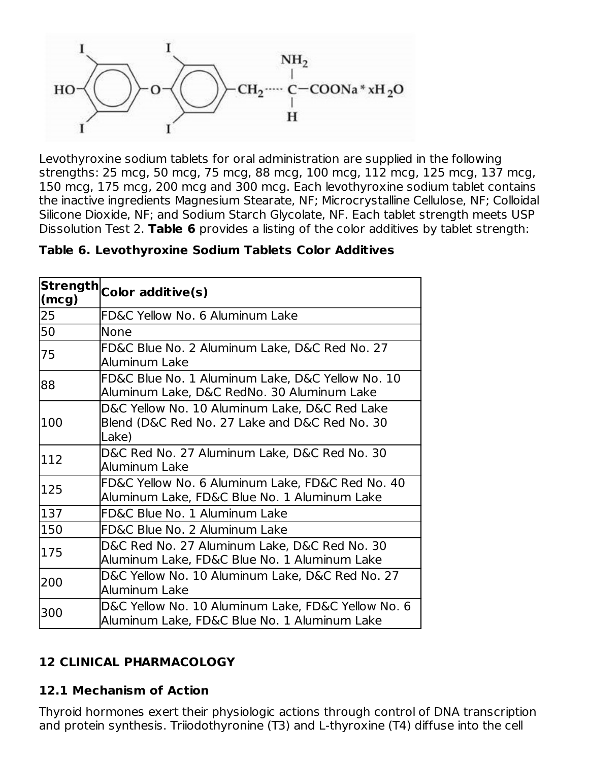

Levothyroxine sodium tablets for oral administration are supplied in the following strengths: 25 mcg, 50 mcg, 75 mcg, 88 mcg, 100 mcg, 112 mcg, 125 mcg, 137 mcg, 150 mcg, 175 mcg, 200 mcg and 300 mcg. Each levothyroxine sodium tablet contains the inactive ingredients Magnesium Stearate, NF; Microcrystalline Cellulose, NF; Colloidal Silicone Dioxide, NF; and Sodium Starch Glycolate, NF. Each tablet strength meets USP Dissolution Test 2. **Table 6** provides a listing of the color additives by tablet strength:

| <b>Strength</b><br>(mcg) | Color additive(s)                                                                                       |  |  |  |  |
|--------------------------|---------------------------------------------------------------------------------------------------------|--|--|--|--|
| 25                       | FD&C Yellow No. 6 Aluminum Lake                                                                         |  |  |  |  |
| 50                       | None                                                                                                    |  |  |  |  |
| 75                       | FD&C Blue No. 2 Aluminum Lake, D&C Red No. 27<br>Aluminum Lake                                          |  |  |  |  |
| 88                       | FD&C Blue No. 1 Aluminum Lake, D&C Yellow No. 10<br>Aluminum Lake, D&C RedNo. 30 Aluminum Lake          |  |  |  |  |
| 100                      | D&C Yellow No. 10 Aluminum Lake, D&C Red Lake<br>Blend (D&C Red No. 27 Lake and D&C Red No. 30<br>Lake) |  |  |  |  |
| 112                      | D&C Red No. 27 Aluminum Lake, D&C Red No. 30<br>Aluminum Lake                                           |  |  |  |  |
| 125                      | FD&C Yellow No. 6 Aluminum Lake, FD&C Red No. 40<br>Aluminum Lake, FD&C Blue No. 1 Aluminum Lake        |  |  |  |  |
| 137                      | FD&C Blue No. 1 Aluminum Lake                                                                           |  |  |  |  |
| 150                      | FD&C Blue No. 2 Aluminum Lake                                                                           |  |  |  |  |
| 175                      | D&C Red No. 27 Aluminum Lake, D&C Red No. 30<br>Aluminum Lake, FD&C Blue No. 1 Aluminum Lake            |  |  |  |  |
| 200                      | D&C Yellow No. 10 Aluminum Lake, D&C Red No. 27<br>Aluminum Lake                                        |  |  |  |  |
| 300                      | D&C Yellow No. 10 Aluminum Lake, FD&C Yellow No. 6<br>Aluminum Lake, FD&C Blue No. 1 Aluminum Lake      |  |  |  |  |

## **12 CLINICAL PHARMACOLOGY**

#### **12.1 Mechanism of Action**

Thyroid hormones exert their physiologic actions through control of DNA transcription and protein synthesis. Triiodothyronine (T3) and L-thyroxine (T4) diffuse into the cell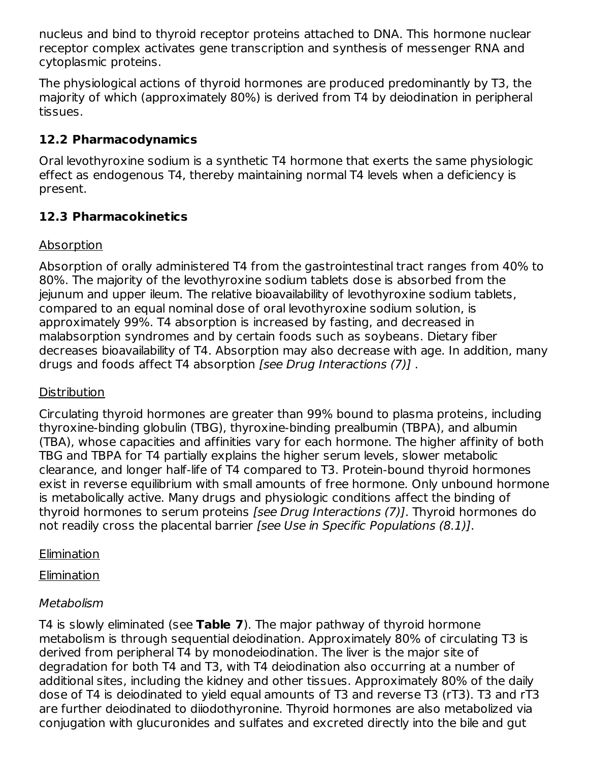nucleus and bind to thyroid receptor proteins attached to DNA. This hormone nuclear receptor complex activates gene transcription and synthesis of messenger RNA and cytoplasmic proteins.

The physiological actions of thyroid hormones are produced predominantly by T3, the majority of which (approximately 80%) is derived from T4 by deiodination in peripheral tissues.

# **12.2 Pharmacodynamics**

Oral levothyroxine sodium is a synthetic T4 hormone that exerts the same physiologic effect as endogenous T4, thereby maintaining normal T4 levels when a deficiency is present.

# **12.3 Pharmacokinetics**

# Absorption

Absorption of orally administered T4 from the gastrointestinal tract ranges from 40% to 80%. The majority of the levothyroxine sodium tablets dose is absorbed from the jejunum and upper ileum. The relative bioavailability of levothyroxine sodium tablets, compared to an equal nominal dose of oral levothyroxine sodium solution, is approximately 99%. T4 absorption is increased by fasting, and decreased in malabsorption syndromes and by certain foods such as soybeans. Dietary fiber decreases bioavailability of T4. Absorption may also decrease with age. In addition, many drugs and foods affect T4 absorption [see Drug Interactions (7)] .

# **Distribution**

Circulating thyroid hormones are greater than 99% bound to plasma proteins, including thyroxine-binding globulin (TBG), thyroxine-binding prealbumin (TBPA), and albumin (TBA), whose capacities and affinities vary for each hormone. The higher affinity of both TBG and TBPA for T4 partially explains the higher serum levels, slower metabolic clearance, and longer half-life of T4 compared to T3. Protein-bound thyroid hormones exist in reverse equilibrium with small amounts of free hormone. Only unbound hormone is metabolically active. Many drugs and physiologic conditions affect the binding of thyroid hormones to serum proteins [see Drug Interactions (7)]. Thyroid hormones do not readily cross the placental barrier [see Use in Specific Populations (8.1)].

# **Elimination**

Elimination

# **Metabolism**

T4 is slowly eliminated (see **Table 7**). The major pathway of thyroid hormone metabolism is through sequential deiodination. Approximately 80% of circulating T3 is derived from peripheral T4 by monodeiodination. The liver is the major site of degradation for both T4 and T3, with T4 deiodination also occurring at a number of additional sites, including the kidney and other tissues. Approximately 80% of the daily dose of T4 is deiodinated to yield equal amounts of T3 and reverse T3 (rT3). T3 and rT3 are further deiodinated to diiodothyronine. Thyroid hormones are also metabolized via conjugation with glucuronides and sulfates and excreted directly into the bile and gut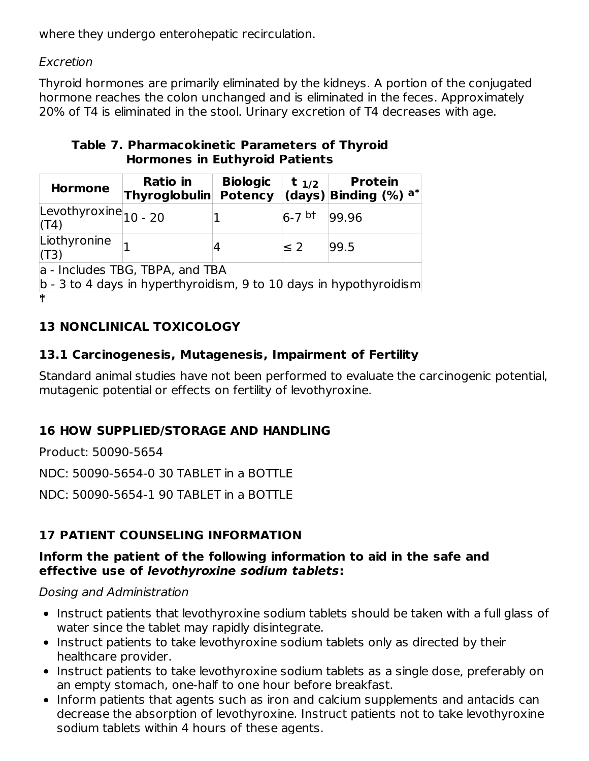where they undergo enterohepatic recirculation.

## Excretion

Thyroid hormones are primarily eliminated by the kidneys. A portion of the conjugated hormone reaches the colon unchanged and is eliminated in the feces. Approximately 20% of T4 is eliminated in the stool. Urinary excretion of T4 decreases with age.

### **Table 7. Pharmacokinetic Parameters of Thyroid Hormones in Euthyroid Patients**

| <b>Hormone</b>                                                                                           | <b>Ratio</b> in<br><b>Thyroglobulin</b> | <b>Biologic</b><br><b>Potency</b> | $t_{1/2}$ | <b>Protein</b><br>(days) Binding $(\% )$ a <sup>*</sup> |  |
|----------------------------------------------------------------------------------------------------------|-----------------------------------------|-----------------------------------|-----------|---------------------------------------------------------|--|
| Levothyroxine $_{10}$ - 20<br>(T4)                                                                       |                                         |                                   | $6-7$ bt  | 99.96                                                   |  |
| Liothyronine<br>(T3)                                                                                     |                                         |                                   | $\leq 2$  | 99.5                                                    |  |
| a - Includes TBG, TBPA, and TBA<br>$ b - 3$ to 4 days in hyperthyroidism, 9 to 10 days in hypothyroidism |                                         |                                   |           |                                                         |  |
| $\ast$                                                                                                   |                                         |                                   |           |                                                         |  |

# **13 NONCLINICAL TOXICOLOGY**

# **13.1 Carcinogenesis, Mutagenesis, Impairment of Fertility**

Standard animal studies have not been performed to evaluate the carcinogenic potential, mutagenic potential or effects on fertility of levothyroxine.

# **16 HOW SUPPLIED/STORAGE AND HANDLING**

Product: 50090-5654

NDC: 50090-5654-0 30 TABLET in a BOTTLE

NDC: 50090-5654-1 90 TABLET in a BOTTLE

# **17 PATIENT COUNSELING INFORMATION**

### **Inform the patient of the following information to aid in the safe and effective use of levothyroxine sodium tablets:**

## Dosing and Administration

- Instruct patients that levothyroxine sodium tablets should be taken with a full glass of water since the tablet may rapidly disintegrate.
- Instruct patients to take levothyroxine sodium tablets only as directed by their healthcare provider.
- Instruct patients to take levothyroxine sodium tablets as a single dose, preferably on an empty stomach, one-half to one hour before breakfast.
- Inform patients that agents such as iron and calcium supplements and antacids can decrease the absorption of levothyroxine. Instruct patients not to take levothyroxine sodium tablets within 4 hours of these agents.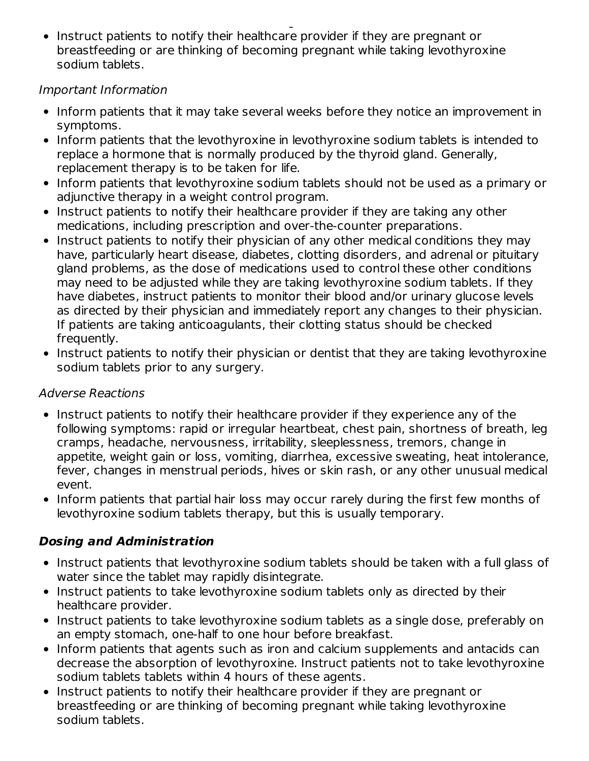sodium tablets within 4 hours of these agents. Instruct patients to notify their healthcare provider if they are pregnant or breastfeeding or are thinking of becoming pregnant while taking levothyroxine sodium tablets.

## Important Information

- Inform patients that it may take several weeks before they notice an improvement in symptoms.
- Inform patients that the levothyroxine in levothyroxine sodium tablets is intended to replace a hormone that is normally produced by the thyroid gland. Generally, replacement therapy is to be taken for life.
- Inform patients that levothyroxine sodium tablets should not be used as a primary or adjunctive therapy in a weight control program.
- Instruct patients to notify their healthcare provider if they are taking any other medications, including prescription and over-the-counter preparations.
- Instruct patients to notify their physician of any other medical conditions they may have, particularly heart disease, diabetes, clotting disorders, and adrenal or pituitary gland problems, as the dose of medications used to control these other conditions may need to be adjusted while they are taking levothyroxine sodium tablets. If they have diabetes, instruct patients to monitor their blood and/or urinary glucose levels as directed by their physician and immediately report any changes to their physician. If patients are taking anticoagulants, their clotting status should be checked frequently.
- Instruct patients to notify their physician or dentist that they are taking levothyroxine sodium tablets prior to any surgery.

## Adverse Reactions

- Instruct patients to notify their healthcare provider if they experience any of the following symptoms: rapid or irregular heartbeat, chest pain, shortness of breath, leg cramps, headache, nervousness, irritability, sleeplessness, tremors, change in appetite, weight gain or loss, vomiting, diarrhea, excessive sweating, heat intolerance, fever, changes in menstrual periods, hives or skin rash, or any other unusual medical event.
- Inform patients that partial hair loss may occur rarely during the first few months of levothyroxine sodium tablets therapy, but this is usually temporary.

# **Dosing and Administration**

- Instruct patients that levothyroxine sodium tablets should be taken with a full glass of water since the tablet may rapidly disintegrate.
- Instruct patients to take levothyroxine sodium tablets only as directed by their healthcare provider.
- Instruct patients to take levothyroxine sodium tablets as a single dose, preferably on an empty stomach, one-half to one hour before breakfast.
- Inform patients that agents such as iron and calcium supplements and antacids can decrease the absorption of levothyroxine. Instruct patients not to take levothyroxine sodium tablets tablets within 4 hours of these agents.
- Instruct patients to notify their healthcare provider if they are pregnant or breastfeeding or are thinking of becoming pregnant while taking levothyroxine sodium tablets.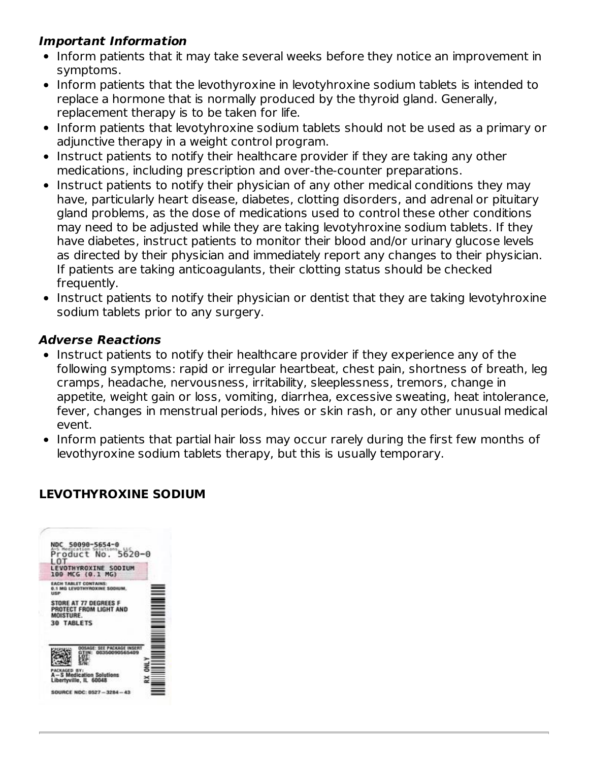### **Important Information**

- Inform patients that it may take several weeks before they notice an improvement in symptoms.
- Inform patients that the levothyroxine in levotyhroxine sodium tablets is intended to replace a hormone that is normally produced by the thyroid gland. Generally, replacement therapy is to be taken for life.
- Inform patients that levotyhroxine sodium tablets should not be used as a primary or adjunctive therapy in a weight control program.
- Instruct patients to notify their healthcare provider if they are taking any other medications, including prescription and over-the-counter preparations.
- Instruct patients to notify their physician of any other medical conditions they may have, particularly heart disease, diabetes, clotting disorders, and adrenal or pituitary gland problems, as the dose of medications used to control these other conditions may need to be adjusted while they are taking levotyhroxine sodium tablets. If they have diabetes, instruct patients to monitor their blood and/or urinary glucose levels as directed by their physician and immediately report any changes to their physician. If patients are taking anticoagulants, their clotting status should be checked frequently.
- Instruct patients to notify their physician or dentist that they are taking levotyhroxine sodium tablets prior to any surgery.

#### **Adverse Reactions**

- Instruct patients to notify their healthcare provider if they experience any of the following symptoms: rapid or irregular heartbeat, chest pain, shortness of breath, leg cramps, headache, nervousness, irritability, sleeplessness, tremors, change in appetite, weight gain or loss, vomiting, diarrhea, excessive sweating, heat intolerance, fever, changes in menstrual periods, hives or skin rash, or any other unusual medical event.
- Inform patients that partial hair loss may occur rarely during the first few months of levothyroxine sodium tablets therapy, but this is usually temporary.

### **LEVOTHYROXINE SODIUM**

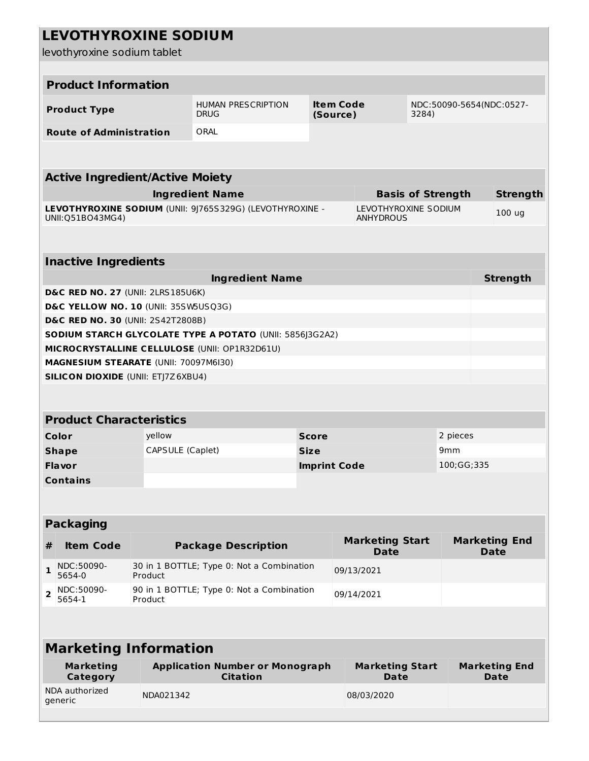|                | <b>LEVOTHYROXINE SODIUM</b><br>levothyroxine sodium tablet |                  |                                                           |                                       |                                       |                                          |                                     |                                     |                 |
|----------------|------------------------------------------------------------|------------------|-----------------------------------------------------------|---------------------------------------|---------------------------------------|------------------------------------------|-------------------------------------|-------------------------------------|-----------------|
|                |                                                            |                  |                                                           |                                       |                                       |                                          |                                     |                                     |                 |
|                | <b>Product Information</b>                                 |                  |                                                           |                                       |                                       |                                          |                                     |                                     |                 |
|                | <b>Product Type</b>                                        |                  | <b>HUMAN PRESCRIPTION</b><br><b>DRUG</b>                  | <b>Item Code</b><br>3284)<br>(Source) |                                       |                                          |                                     | NDC:50090-5654(NDC:0527-            |                 |
|                | <b>Route of Administration</b>                             |                  | ORAL                                                      |                                       |                                       |                                          |                                     |                                     |                 |
|                |                                                            |                  |                                                           |                                       |                                       |                                          |                                     |                                     |                 |
|                | <b>Active Ingredient/Active Moiety</b>                     |                  |                                                           |                                       |                                       |                                          |                                     |                                     |                 |
|                |                                                            |                  | <b>Ingredient Name</b>                                    |                                       |                                       |                                          | <b>Basis of Strength</b>            |                                     | <b>Strength</b> |
|                | UNII: 051B043MG4)                                          |                  | LEVOTHYROXINE SODIUM (UNII: 9J765S329G) (LEVOTHYROXINE -  |                                       |                                       | LEVOTHYROXINE SODIUM<br><b>ANHYDROUS</b> |                                     |                                     | 100 ug          |
|                |                                                            |                  |                                                           |                                       |                                       |                                          |                                     |                                     |                 |
|                | <b>Inactive Ingredients</b>                                |                  |                                                           |                                       |                                       |                                          |                                     |                                     |                 |
|                |                                                            |                  | <b>Ingredient Name</b>                                    |                                       |                                       |                                          |                                     |                                     | <b>Strength</b> |
|                | D&C RED NO. 27 (UNII: 2LRS185U6K)                          |                  |                                                           |                                       |                                       |                                          |                                     |                                     |                 |
|                | D&C YELLOW NO. 10 (UNII: 35SW5USQ3G)                       |                  |                                                           |                                       |                                       |                                          |                                     |                                     |                 |
|                | D&C RED NO. 30 (UNII: 2S42T2808B)                          |                  | SODIUM STARCH GLYCOLATE TYPE A POTATO (UNII: 5856J3G2A2)  |                                       |                                       |                                          |                                     |                                     |                 |
|                |                                                            |                  | MICROCRYSTALLINE CELLULOSE (UNII: OP1R32D61U)             |                                       |                                       |                                          |                                     |                                     |                 |
|                | MAGNESIUM STEARATE (UNII: 70097M6I30)                      |                  |                                                           |                                       |                                       |                                          |                                     |                                     |                 |
|                | <b>SILICON DIOXIDE (UNII: ETJ7Z6XBU4)</b>                  |                  |                                                           |                                       |                                       |                                          |                                     |                                     |                 |
|                |                                                            |                  |                                                           |                                       |                                       |                                          |                                     |                                     |                 |
|                |                                                            |                  |                                                           |                                       |                                       |                                          |                                     |                                     |                 |
|                | <b>Product Characteristics</b>                             |                  |                                                           |                                       |                                       |                                          |                                     |                                     |                 |
|                | Color                                                      | yellow           |                                                           | <b>Score</b>                          |                                       |                                          |                                     | 2 pieces                            |                 |
|                | <b>Shape</b>                                               | CAPSULE (Caplet) |                                                           | Size                                  |                                       |                                          | 9 <sub>mm</sub>                     |                                     |                 |
|                | <b>Flavor</b>                                              |                  |                                                           | <b>Imprint Code</b>                   |                                       |                                          | 100;GG;335                          |                                     |                 |
|                | <b>Contains</b>                                            |                  |                                                           |                                       |                                       |                                          |                                     |                                     |                 |
|                |                                                            |                  |                                                           |                                       |                                       |                                          |                                     |                                     |                 |
|                | <b>Packaging</b>                                           |                  |                                                           |                                       |                                       |                                          |                                     |                                     |                 |
| #              | <b>Item Code</b>                                           |                  | <b>Package Description</b>                                |                                       | <b>Marketing Start</b><br><b>Date</b> |                                          |                                     | <b>Marketing End</b><br><b>Date</b> |                 |
| 1              | NDC:50090-<br>5654-0                                       | Product          | 30 in 1 BOTTLE; Type 0: Not a Combination                 |                                       |                                       | 09/13/2021                               |                                     |                                     |                 |
| $\overline{2}$ | NDC:50090-<br>5654-1                                       | Product          | 90 in 1 BOTTLE; Type 0: Not a Combination<br>09/14/2021   |                                       |                                       |                                          |                                     |                                     |                 |
|                |                                                            |                  |                                                           |                                       |                                       |                                          |                                     |                                     |                 |
|                | <b>Marketing Information</b>                               |                  |                                                           |                                       |                                       |                                          |                                     |                                     |                 |
|                | <b>Marketing</b><br><b>Category</b>                        |                  | <b>Application Number or Monograph</b><br><b>Citation</b> |                                       | <b>Marketing Start</b><br><b>Date</b> |                                          | <b>Marketing End</b><br><b>Date</b> |                                     |                 |
|                | NDA authorized<br>generic                                  | NDA021342        |                                                           |                                       | 08/03/2020                            |                                          |                                     |                                     |                 |
|                |                                                            |                  |                                                           |                                       |                                       |                                          |                                     |                                     |                 |